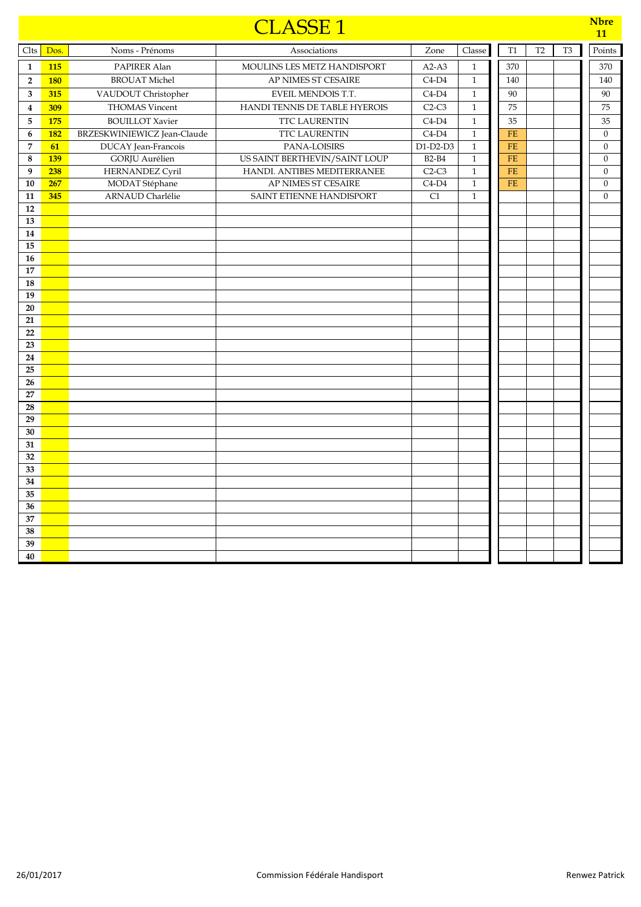|                         |            |                             | <b>CLASSE1</b>                |                 |              |           |                |                | <b>Nbre</b><br>11 |
|-------------------------|------------|-----------------------------|-------------------------------|-----------------|--------------|-----------|----------------|----------------|-------------------|
| Clts                    | Dos.       | Noms - Prénoms              | Associations                  | Zone            | Classe       | T1        | T <sub>2</sub> | T <sub>3</sub> | Points            |
| $\mathbf{1}$            | <b>115</b> | PAPIRER Alan                | MOULINS LES METZ HANDISPORT   | $A2-A3$         | $\mathbf{1}$ | 370       |                |                | 370               |
| $\overline{2}$          | <b>180</b> | <b>BROUAT Michel</b>        | AP NIMES ST CESAIRE           | $C4-D4$         | $\mathbf{1}$ | 140       |                |                | 140               |
| $\overline{\mathbf{3}}$ | 315        | VAUDOUT Christopher         | EVEIL MENDOIS T.T.            | $C4-D4$         | $\mathbf{1}$ | 90        |                |                | 90                |
| $\overline{\mathbf{4}}$ | 309        | <b>THOMAS Vincent</b>       | HANDI TENNIS DE TABLE HYEROIS | $C2-C3$         | $\mathbf{1}$ | 75        |                |                | 75                |
| $\bf 5$                 | <b>175</b> | <b>BOUILLOT</b> Xavier      | <b>TTC LAURENTIN</b>          | $C4-D4$         | $\mathbf{1}$ | 35        |                |                | 35                |
| $6\phantom{1}$          | <b>182</b> | BRZESKWINIEWICZ Jean-Claude | <b>TTC LAURENTIN</b>          | $C4-D4$         | $\mathbf{1}$ | <b>FE</b> |                |                | $\mathbf{0}$      |
| $\overline{7}$          | 61         | <b>DUCAY</b> Jean-Francois  | PANA-LOISIRS                  | $D1-D2-D3$      | $\mathbf{1}$ | <b>FE</b> |                |                | $\boldsymbol{0}$  |
| 8                       | <b>139</b> | <b>GORJU</b> Aurélien       | US SAINT BERTHEVIN/SAINT LOUP | <b>B2-B4</b>    | $\mathbf{1}$ | <b>FE</b> |                |                | $\boldsymbol{0}$  |
| 9                       | 238        | <b>HERNANDEZ Cyril</b>      | HANDI. ANTIBES MEDITERRANEE   | $C2-C3$         | $\,1\,$      | $FE$      |                |                | $\boldsymbol{0}$  |
| 10                      | 267        | MODAT Stéphane              | AP NIMES ST CESAIRE           | $C4-D4$         | $\mathbf 1$  | FE        |                |                | $\boldsymbol{0}$  |
| 11                      | 345        | <b>ARNAUD Charlélie</b>     | SAINT ETIENNE HANDISPORT      | $\overline{C1}$ | $\mathbf{1}$ |           |                |                | $\mathbf{0}$      |
| 12                      |            |                             |                               |                 |              |           |                |                |                   |
| 13                      |            |                             |                               |                 |              |           |                |                |                   |
| 14<br>$\overline{15}$   |            |                             |                               |                 |              |           |                |                |                   |
| 16                      |            |                             |                               |                 |              |           |                |                |                   |
| 17                      |            |                             |                               |                 |              |           |                |                |                   |
| 18                      |            |                             |                               |                 |              |           |                |                |                   |
| 19                      |            |                             |                               |                 |              |           |                |                |                   |
| 20                      |            |                             |                               |                 |              |           |                |                |                   |
| 21                      |            |                             |                               |                 |              |           |                |                |                   |
| 22                      |            |                             |                               |                 |              |           |                |                |                   |
| 23                      |            |                             |                               |                 |              |           |                |                |                   |
| 24                      |            |                             |                               |                 |              |           |                |                |                   |
| 25                      |            |                             |                               |                 |              |           |                |                |                   |
| 26                      |            |                             |                               |                 |              |           |                |                |                   |
| 27                      |            |                             |                               |                 |              |           |                |                |                   |
| 28                      |            |                             |                               |                 |              |           |                |                |                   |
| 29                      |            |                             |                               |                 |              |           |                |                |                   |
| 30<br>31                |            |                             |                               |                 |              |           |                |                |                   |
| 32                      |            |                             |                               |                 |              |           |                |                |                   |
| 33                      |            |                             |                               |                 |              |           |                |                |                   |
| 34                      |            |                             |                               |                 |              |           |                |                |                   |
| 35                      |            |                             |                               |                 |              |           |                |                |                   |
| 36                      |            |                             |                               |                 |              |           |                |                |                   |
| 37                      |            |                             |                               |                 |              |           |                |                |                   |
| 38                      |            |                             |                               |                 |              |           |                |                |                   |
| 39                      |            |                             |                               |                 |              |           |                |                |                   |
| 40                      |            |                             |                               |                 |              |           |                |                |                   |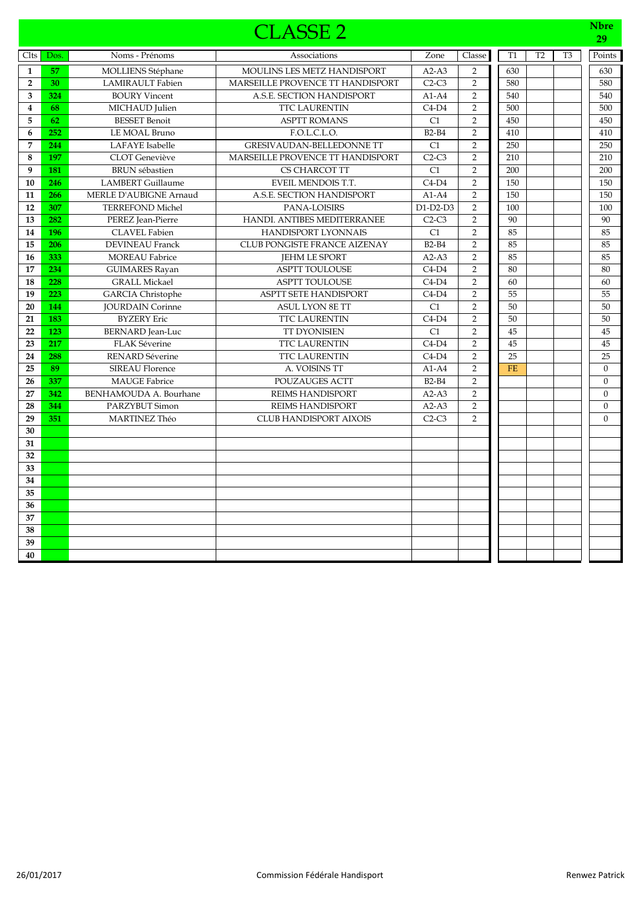|                         |      |                               | <b>CLASSE 2</b>                     |                 |                |           |                |                | <b>Nbre</b><br>29 |
|-------------------------|------|-------------------------------|-------------------------------------|-----------------|----------------|-----------|----------------|----------------|-------------------|
| Clts                    | Dos. | Noms - Prénoms                | Associations                        | Zone            | Classe         | T1        | T <sub>2</sub> | T <sub>3</sub> | Points            |
| $\mathbf{1}$            | 57   | <b>MOLLIENS Stéphane</b>      | MOULINS LES METZ HANDISPORT         | $A2-A3$         | $\overline{2}$ | 630       |                |                | 630               |
| $\overline{2}$          | 30   | <b>LAMIRAULT</b> Fabien       | MARSEILLE PROVENCE TT HANDISPORT    | $C2-C3$         | $\overline{2}$ | 580       |                |                | 580               |
| 3                       | 324  | <b>BOURY Vincent</b>          | A.S.E. SECTION HANDISPORT           | $A1-A4$         | $\overline{2}$ | 540       |                |                | 540               |
| $\overline{\mathbf{4}}$ | 68   | MICHAUD Julien                | TTC LAURENTIN                       | $C4-D4$         | $\mathbf 2$    | 500       |                |                | 500               |
| 5                       | 62   | <b>BESSET Benoit</b>          | <b>ASPTT ROMANS</b>                 | C1              | $\overline{2}$ | 450       |                |                | 450               |
| 6                       | 252  | LE MOAL Bruno                 | F.O.L.C.L.O.                        | <b>B2-B4</b>    | $\overline{2}$ | 410       |                |                | 410               |
| 7                       | 244  | <b>LAFAYE</b> Isabelle        | <b>GRESIVAUDAN-BELLEDONNE TT</b>    | C1              | $\overline{2}$ | 250       |                |                | 250               |
| 8                       | 197  | <b>CLOT</b> Geneviève         | MARSEILLE PROVENCE TT HANDISPORT    | $C2-C3$         | $\overline{2}$ | 210       |                |                | 210               |
| 9                       | 181  | <b>BRUN</b> sébastien         | CS CHARCOT TT                       | C1              | $\overline{2}$ | 200       |                |                | 200               |
| 10                      | 246  | <b>LAMBERT</b> Guillaume      | EVEIL MENDOIS T.T.                  | $C4-D4$         | $\overline{2}$ | 150       |                |                | 150               |
| 11                      | 266  | <b>MERLE D'AUBIGNE Arnaud</b> | A.S.E. SECTION HANDISPORT           | $A1-A4$         | $\overline{2}$ | 150       |                |                | 150               |
| 12                      | 307  | <b>TERREFOND Michel</b>       | PANA-LOISIRS                        | $D1-D2-D3$      | $\overline{2}$ | 100       |                |                | 100               |
| 13                      | 282  | PEREZ Jean-Pierre             | HANDI. ANTIBES MEDITERRANEE         | $C2-C3$         | $\overline{2}$ | 90        |                |                | 90                |
| 14                      | 196  | <b>CLAVEL Fabien</b>          | <b>HANDISPORT LYONNAIS</b>          | C1              | $\overline{2}$ | 85        |                |                | 85                |
| 15                      | 206  | <b>DEVINEAU Franck</b>        | <b>CLUB PONGISTE FRANCE AIZENAY</b> | $B2-B4$         | $\overline{2}$ | 85        |                |                | 85                |
| 16                      | 333  | <b>MOREAU Fabrice</b>         | <b>JEHM LE SPORT</b>                | $A2-A3$         | $\overline{2}$ | 85        |                |                | 85                |
| 17                      | 234  | <b>GUIMARES Rayan</b>         | <b>ASPTT TOULOUSE</b>               | $C4-D4$         | $\overline{2}$ | 80        |                |                | 80                |
| 18                      | 228  | <b>GRALL Mickael</b>          | <b>ASPTT TOULOUSE</b>               | $C4-D4$         | $\overline{2}$ | 60        |                |                | 60                |
| 19                      | 223  | <b>GARCIA</b> Christophe      | <b>ASPTT SETE HANDISPORT</b>        | $C4-D4$         | $\overline{2}$ | 55        |                |                | 55                |
| 20                      | 144  | <b>JOURDAIN Corinne</b>       | <b>ASUL LYON 8E TT</b>              | C1              | $\overline{2}$ | 50        |                |                | 50                |
| 21                      | 183  | <b>BYZERY Eric</b>            | <b>TTC LAURENTIN</b>                | $C4-D4$         | $\overline{2}$ | 50        |                |                | 50                |
| 22                      | 123  | <b>BERNARD</b> Jean-Luc       | <b>TT DYONISIEN</b>                 | $\overline{C1}$ | $\overline{2}$ | 45        |                |                | 45                |
| 23                      | 217  | <b>FLAK Séverine</b>          | TTC LAURENTIN                       | $C4-D4$         | $\overline{2}$ | 45        |                |                | 45                |
| 24                      | 288  | <b>RENARD Séverine</b>        | <b>TTC LAURENTIN</b>                | $C4-D4$         | $\overline{2}$ | 25        |                |                | 25                |
| 25                      | 89   | <b>SIREAU Florence</b>        | A. VOISINS TT                       | $A1-A4$         | $\overline{2}$ | <b>FE</b> |                |                | $\boldsymbol{0}$  |
| 26                      | 337  | <b>MAUGE Fabrice</b>          | <b>POUZAUGES ACTT</b>               | $B2-B4$         | $\overline{2}$ |           |                |                | $\mathbf{0}$      |
| 27                      | 342  | BENHAMOUDA A. Bourhane        | <b>REIMS HANDISPORT</b>             | $A2-A3$         | 2              |           |                |                | $\mathbf{0}$      |
| 28                      | 344  | PARZYBUT Simon                | <b>REIMS HANDISPORT</b>             | $A2-A3$         | $\overline{2}$ |           |                |                | $\mathbf{0}$      |
| 29                      | 351  | <b>MARTINEZ Théo</b>          | <b>CLUB HANDISPORT AIXOIS</b>       | $C2-C3$         | $\overline{2}$ |           |                |                | $\Omega$          |
| 30                      |      |                               |                                     |                 |                |           |                |                |                   |
| 31                      |      |                               |                                     |                 |                |           |                |                |                   |
| 32                      |      |                               |                                     |                 |                |           |                |                |                   |
| 33                      |      |                               |                                     |                 |                |           |                |                |                   |
| 34                      |      |                               |                                     |                 |                |           |                |                |                   |
| 35                      |      |                               |                                     |                 |                |           |                |                |                   |
| 36                      |      |                               |                                     |                 |                |           |                |                |                   |
| 37                      |      |                               |                                     |                 |                |           |                |                |                   |
| 38                      |      |                               |                                     |                 |                |           |                |                |                   |
| 39                      |      |                               |                                     |                 |                |           |                |                |                   |
| 40                      |      |                               |                                     |                 |                |           |                |                |                   |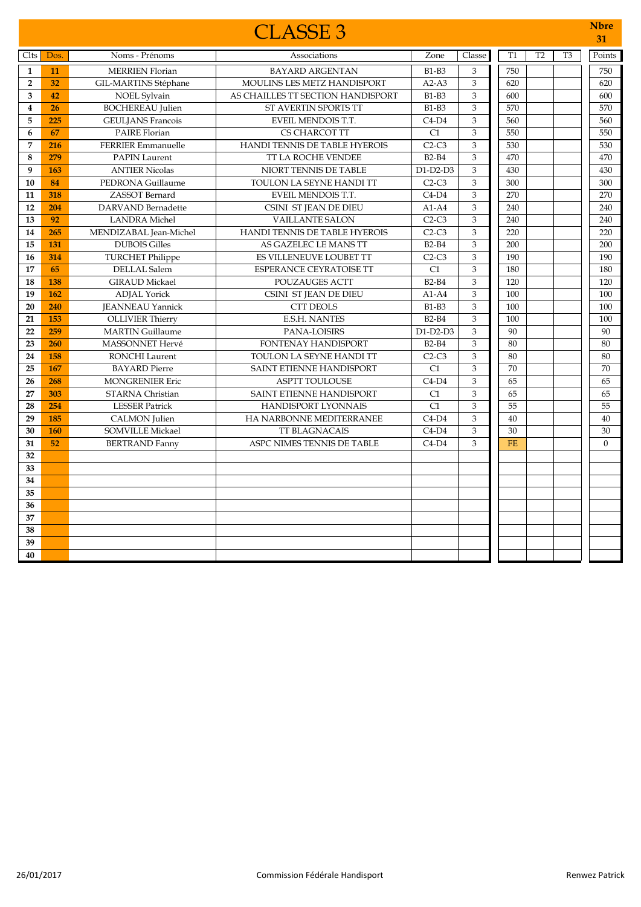|                         |      |                           | <b>CLASSE 3</b>                    |              |                |           |                |                | <b>N</b> bre<br>31 |
|-------------------------|------|---------------------------|------------------------------------|--------------|----------------|-----------|----------------|----------------|--------------------|
| Clts                    | Dos. | Noms - Prénoms            | Associations                       | Zone         | Classe         | T1        | T <sub>2</sub> | T <sub>3</sub> | Points             |
| $\mathbf{1}$            | 11   | <b>MERRIEN Florian</b>    | <b>BAYARD ARGENTAN</b>             | $B1-B3$      | 3              | 750       |                |                | 750                |
| $\overline{2}$          | 32   | GIL-MARTINS Stéphane      | <b>MOULINS LES METZ HANDISPORT</b> | $A2-A3$      | 3              | 620       |                |                | 620                |
| $\overline{\mathbf{3}}$ | 42   | NOEL Sylvain              | AS CHAILLES TT SECTION HANDISPORT  | $B1-B3$      | 3              | 600       |                |                | 600                |
| $\overline{\mathbf{4}}$ | 26   | <b>BOCHEREAU</b> Julien   | ST AVERTIN SPORTS TT               | $B1-B3$      | 3              | 570       |                |                | 570                |
| 5                       | 225  | <b>GEULJANS Francois</b>  | EVEIL MENDOIS T.T.                 | $C4-D4$      | 3              | 560       |                |                | 560                |
| 6                       | 67   | <b>PAIRE Florian</b>      | CS CHARCOT TT                      | C1           | 3              | 550       |                |                | 550                |
| $\overline{7}$          | 216  | <b>FERRIER Emmanuelle</b> | HANDI TENNIS DE TABLE HYEROIS      | $C2-C3$      | 3              | 530       |                |                | 530                |
| 8                       | 279  | <b>PAPIN Laurent</b>      | TT LA ROCHE VENDEE                 | <b>B2-B4</b> | 3              | 470       |                |                | 470                |
| 9                       | 163  | <b>ANTIER Nicolas</b>     | NIORT TENNIS DE TABLE              | $D1-D2-D3$   | 3              | 430       |                |                | 430                |
| 10                      | 84   | PEDRONA Guillaume         | TOULON LA SEYNE HANDI TT           | $C2-C3$      | 3              | 300       |                |                | 300                |
| 11                      | 318  | ZASSOT Bernard            | EVEIL MENDOIS T.T.                 | $C4-D4$      | $\,$ 3 $\,$    | 270       |                |                | 270                |
| 12                      | 204  | <b>DARVAND</b> Bernadette | CSINI ST JEAN DE DIEU              | $A1-A4$      | $\mathfrak{Z}$ | 240       |                |                | 240                |
| 13                      | 92   | <b>LANDRA</b> Michel      | <b>VAILLANTE SALON</b>             | $C2-C3$      | 3              | 240       |                |                | 240                |
| 14                      | 265  | MENDIZABAL Jean-Michel    | HANDI TENNIS DE TABLE HYEROIS      | $C2-C3$      | 3              | 220       |                |                | 220                |
| 15                      | 131  | <b>DUBOIS Gilles</b>      | AS GAZELEC LE MANS TT              | $B2-B4$      | 3              | 200       |                |                | 200                |
| 16                      | 314  | <b>TURCHET Philippe</b>   | ES VILLENEUVE LOUBET TT            | $C2-C3$      | 3              | 190       |                |                | 190                |
| 17                      | 65   | <b>DELLAL</b> Salem       | ESPERANCE CEYRATOISE TT            | C1           | 3              | 180       |                |                | 180                |
| 18                      | 138  | <b>GIRAUD Mickael</b>     | <b>POUZAUGES ACTT</b>              | $B2-B4$      | 3              | 120       |                |                | 120                |
| 19                      | 162  | <b>ADJAL</b> Yorick       | CSINI ST JEAN DE DIEU              | $A1-A4$      | 3              | 100       |                |                | 100                |
| 20                      | 240  | <b>JEANNEAU Yannick</b>   | <b>CTT DEOLS</b>                   | <b>B1-B3</b> | 3              | 100       |                |                | 100                |
| 21                      | 153  | <b>OLLIVIER Thierry</b>   | <b>E.S.H. NANTES</b>               | $B2-B4$      | 3              | 100       |                |                | 100                |
| 22                      | 259  | <b>MARTIN Guillaume</b>   | PANA-LOISIRS                       | $D1-D2-D3$   | 3              | 90        |                |                | 90                 |
| 23                      | 260  | <b>MASSONNET Hervé</b>    | FONTENAY HANDISPORT                | $B2-B4$      | 3              | 80        |                |                | 80                 |
| 24                      | 158  | <b>RONCHI</b> Laurent     | TOULON LA SEYNE HANDI TT           | $C2-C3$      | 3              | 80        |                |                | 80                 |
| 25                      | 167  | <b>BAYARD</b> Pierre      | SAINT ETIENNE HANDISPORT           | C1           | 3              | 70        |                |                | 70                 |
| 26                      | 268  | <b>MONGRENIER Eric</b>    | <b>ASPTT TOULOUSE</b>              | $C4-D4$      | 3              | 65        |                |                | 65                 |
| 27                      | 303  | <b>STARNA Christian</b>   | SAINT ETIENNE HANDISPORT           | C1           | 3              | 65        |                |                | 65                 |
| 28                      | 254  | <b>LESSER Patrick</b>     | <b>HANDISPORT LYONNAIS</b>         | C1           | 3              | 55        |                |                | 55                 |
| 29                      | 185  | <b>CALMON</b> Julien      | HA NARBONNE MEDITERRANEE           | $C4-D4$      | 3              | 40        |                |                | 40                 |
| 30                      | 160  | <b>SOMVILLE Mickael</b>   | <b>TT BLAGNACAIS</b>               | $C4-D4$      | 3              | 30        |                |                | 30                 |
| 31                      | 52   | <b>BERTRAND Fanny</b>     | ASPC NIMES TENNIS DE TABLE         | $C4-D4$      | 3              | <b>FE</b> |                |                | $\theta$           |
| 32                      |      |                           |                                    |              |                |           |                |                |                    |
| 33                      |      |                           |                                    |              |                |           |                |                |                    |
| 34                      |      |                           |                                    |              |                |           |                |                |                    |
| 35                      |      |                           |                                    |              |                |           |                |                |                    |
| 36                      |      |                           |                                    |              |                |           |                |                |                    |
| 37                      |      |                           |                                    |              |                |           |                |                |                    |
| 38                      |      |                           |                                    |              |                |           |                |                |                    |
| 39                      |      |                           |                                    |              |                |           |                |                |                    |
| 40                      |      |                           |                                    |              |                |           |                |                |                    |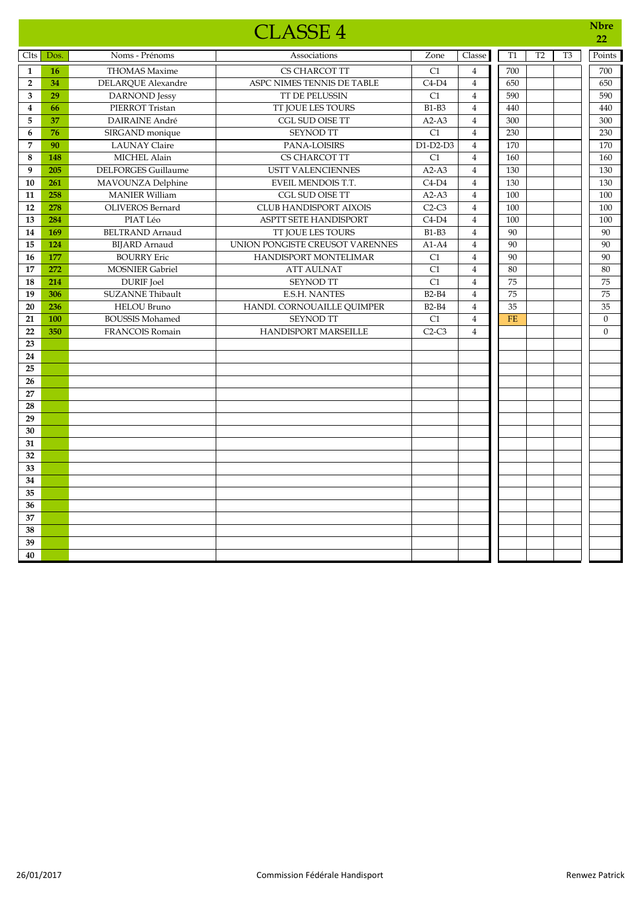|                         |           |                            | <b>CLASSE 4</b>                 |                 |                         |           |                |                | <b>Nbre</b><br>22 |
|-------------------------|-----------|----------------------------|---------------------------------|-----------------|-------------------------|-----------|----------------|----------------|-------------------|
| Clts                    | Dos.      | Noms - Prénoms             | Associations                    | Zone            | Classe                  | <b>T1</b> | T <sub>2</sub> | T <sub>3</sub> | Points            |
| $\mathbf{1}$            | <b>16</b> | <b>THOMAS Maxime</b>       | CS CHARCOT TT                   | C1              | $\overline{4}$          | 700       |                |                | 700               |
| $\overline{2}$          | 34        | <b>DELARQUE Alexandre</b>  | ASPC NIMES TENNIS DE TABLE      | $C4-D4$         | $\overline{4}$          | 650       |                |                | 650               |
| 3                       | 29        | DARNOND Jessy              | TT DE PELUSSIN                  | C1              | $\overline{4}$          | 590       |                |                | 590               |
| $\overline{\mathbf{4}}$ | 66        | PIERROT Tristan            | TT JOUE LES TOURS               | <b>B1-B3</b>    | $\overline{4}$          | 440       |                |                | 440               |
| 5                       | 37        | <b>DAIRAINE André</b>      | CGL SUD OISE TT                 | $A2-A3$         | $\overline{4}$          | 300       |                |                | 300               |
| 6                       | 76        | SIRGAND monique            | <b>SEYNOD TT</b>                | C1              | $\overline{4}$          | 230       |                |                | 230               |
| 7                       | 90        | <b>LAUNAY Claire</b>       | PANA-LOISIRS                    | D1-D2-D3        | $\overline{4}$          | 170       |                |                | 170               |
| $\bf 8$                 | 148       | MICHEL Alain               | CS CHARCOT TT                   | C1              | $\overline{4}$          | 160       |                |                | 160               |
| 9                       | 205       | <b>DELFORGES Guillaume</b> | <b>USTT VALENCIENNES</b>        | $A2-A3$         | $\overline{4}$          | 130       |                |                | 130               |
| 10                      | 261       | MAVOUNZA Delphine          | EVEIL MENDOIS T.T.              | $C4-D4$         | $\overline{4}$          | 130       |                |                | 130               |
| ${\bf 11}$              | 258       | <b>MANIER William</b>      | CGL SUD OISE TT                 | $A2-A3$         | $\overline{4}$          | 100       |                |                | 100               |
| 12                      | 278       | <b>OLIVEROS</b> Bernard    | <b>CLUB HANDISPORT AIXOIS</b>   | $C2-C3$         | $\overline{4}$          | 100       |                |                | 100               |
| 13                      | 284       | PIAT Léo                   | <b>ASPTT SETE HANDISPORT</b>    | $C4-D4$         | $\overline{4}$          | 100       |                |                | 100               |
| 14                      | 169       | <b>BELTRAND Arnaud</b>     | TT JOUE LES TOURS               | <b>B1-B3</b>    | $\overline{4}$          | 90        |                |                | 90                |
| 15                      | 124       | <b>BIJARD</b> Arnaud       | UNION PONGISTE CREUSOT VARENNES | $A1-A4$         | $\overline{\mathbf{4}}$ | 90        |                |                | 90                |
| 16                      | 177       | <b>BOURRY Eric</b>         | HANDISPORT MONTELIMAR           | C1              | $\overline{4}$          | 90        |                |                | 90                |
| 17                      | 272       | <b>MOSNIER Gabriel</b>     | <b>ATT AULNAT</b>               | C1              | $\overline{4}$          | 80        |                |                | 80                |
| 18                      | 214       | <b>DURIF</b> Joel          | SEYNOD TT                       | $\overline{C1}$ | $\overline{4}$          | 75        |                |                | 75                |
| 19                      | 306       | <b>SUZANNE Thibault</b>    | <b>E.S.H. NANTES</b>            | $B2-B4$         | $\overline{4}$          | 75        |                |                | 75                |
| 20                      | 236       | <b>HELOU Bruno</b>         | HANDI. CORNOUAILLE QUIMPER      | <b>B2-B4</b>    | $\overline{4}$          | 35        |                |                | 35                |
| 21                      | 100       | <b>BOUSSIS Mohamed</b>     | <b>SEYNOD TT</b>                | C1              | $\overline{4}$          | <b>FE</b> |                |                | $\mathbf{0}$      |
| 22                      | 350       | <b>FRANCOIS Romain</b>     | <b>HANDISPORT MARSEILLE</b>     | $C2-C3$         | $\overline{4}$          |           |                |                | $\theta$          |
| 23                      |           |                            |                                 |                 |                         |           |                |                |                   |
| 24                      |           |                            |                                 |                 |                         |           |                |                |                   |
| 25                      |           |                            |                                 |                 |                         |           |                |                |                   |
| 26                      |           |                            |                                 |                 |                         |           |                |                |                   |
| 27                      |           |                            |                                 |                 |                         |           |                |                |                   |
| 28                      |           |                            |                                 |                 |                         |           |                |                |                   |
| 29                      |           |                            |                                 |                 |                         |           |                |                |                   |
| 30                      |           |                            |                                 |                 |                         |           |                |                |                   |
| 31                      |           |                            |                                 |                 |                         |           |                |                |                   |
| 32                      |           |                            |                                 |                 |                         |           |                |                |                   |
| 33                      |           |                            |                                 |                 |                         |           |                |                |                   |
| 34                      |           |                            |                                 |                 |                         |           |                |                |                   |
| 35                      |           |                            |                                 |                 |                         |           |                |                |                   |
| 36                      |           |                            |                                 |                 |                         |           |                |                |                   |
| 37                      |           |                            |                                 |                 |                         |           |                |                |                   |
| 38                      |           |                            |                                 |                 |                         |           |                |                |                   |
| 39                      |           |                            |                                 |                 |                         |           |                |                |                   |
| 40                      |           |                            |                                 |                 |                         |           |                |                |                   |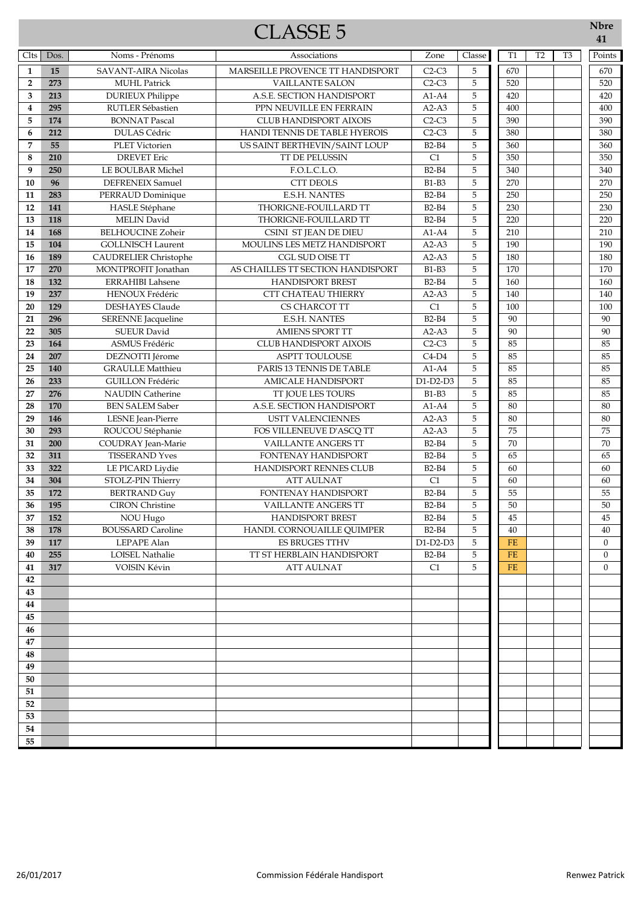## CLASSE 5 **Nbre**

| Clts                    | Dos.       | Noms - Prénoms                                  | Associations                                          | Zone                    | Classe      | T1              | T <sub>2</sub> | T <sub>3</sub> | Points         |
|-------------------------|------------|-------------------------------------------------|-------------------------------------------------------|-------------------------|-------------|-----------------|----------------|----------------|----------------|
| $\mathbf{1}$            | 15         | <b>SAVANT-AIRA Nicolas</b>                      | MARSEILLE PROVENCE TT HANDISPORT                      | $C2-C3$                 | 5           | 670             |                |                | 670            |
| $\overline{2}$          | 273        | <b>MUHL Patrick</b>                             | <b>VAILLANTE SALON</b>                                | $C2-C3$                 | $\mathbf 5$ | 520             |                |                | 520            |
| 3                       | 213        | <b>DURIEUX Philippe</b>                         | A.S.E. SECTION HANDISPORT                             | $A1-A4$                 | $\mathbf 5$ | 420             |                |                | 420            |
| $\overline{\mathbf{4}}$ | 295        | RUTLER Sébastien                                | PPN NEUVILLE EN FERRAIN                               | $A2-A3$                 | 5           | 400             |                |                | 400            |
| 5                       | 174        | <b>BONNAT Pascal</b>                            | <b>CLUB HANDISPORT AIXOIS</b>                         | $C2-C3$                 | 5           | 390             |                |                | 390            |
| 6                       | 212        | <b>DULAS Cédric</b>                             | HANDI TENNIS DE TABLE HYEROIS                         | $C2-C3$                 | 5           | 380             |                |                | 380            |
| 7                       | 55         | PLET Victorien                                  | US SAINT BERTHEVIN/SAINT LOUP                         | <b>B2-B4</b>            | 5           | 360             |                |                | 360            |
| 8                       | 210        | <b>DREVET Eric</b>                              | TT DE PELUSSIN                                        | C1                      | $\mathbf 5$ | 350             |                |                | 350            |
| 9                       | 250        | LE BOULBAR Michel                               | F.O.L.C.L.O.                                          | <b>B2-B4</b>            | $\mathbf 5$ | 340             |                |                | 340            |
| 10                      | 96         | <b>DEFRENEIX Samuel</b>                         | CTT DEOLS                                             | <b>B1-B3</b>            | 5           | 270             |                |                | 270            |
| 11                      | 283        | PERRAUD Dominique                               | <b>E.S.H. NANTES</b>                                  | <b>B2-B4</b>            | $\mathbf 5$ | 250             |                |                | 250            |
| 12                      | 141        | HASLE Stéphane                                  | THORIGNE-FOUILLARD TT                                 | <b>B2-B4</b>            | 5           | 230             |                |                | 230            |
| 13                      | 118        | <b>MELIN</b> David                              | THORIGNE-FOUILLARD TT                                 | <b>B2-B4</b>            | 5           | 220             |                |                | 220            |
| 14                      | 168        | <b>BELHOUCINE Zoheir</b>                        | CSINI ST JEAN DE DIEU                                 | $A1-A4$                 | 5           | 210             |                |                | 210            |
| 15                      | 104        | <b>GOLLNISCH Laurent</b>                        | MOULINS LES METZ HANDISPORT                           | $A2-A3$                 | $\mathbf 5$ | 190             |                |                | 190            |
| 16                      | 189        | <b>CAUDRELIER Christophe</b>                    | <b>CGL SUD OISE TT</b>                                | $A2-A3$                 | 5           | 180             |                |                | 180            |
| 17                      | 270        | MONTPROFIT Jonathan                             | AS CHAILLES TT SECTION HANDISPORT                     | <b>B1-B3</b>            | 5           | 170             |                |                | 170            |
| 18                      | 132<br>237 | <b>ERRAHIBI Lahsene</b>                         | <b>HANDISPORT BREST</b><br><b>CTT CHATEAU THIERRY</b> | <b>B2-B4</b><br>$A2-A3$ | 5<br>5      | 160<br>140      |                |                | 160            |
| 19                      | 129        | HENOUX Frédéric<br><b>DESHAYES Claude</b>       |                                                       | C1                      | 5           | 100             |                |                | 140            |
| 20<br>21                | 296        |                                                 | CS CHARCOT TT<br><b>E.S.H. NANTES</b>                 | <b>B2-B4</b>            | $\mathbf 5$ | 90              |                |                | 100<br>90      |
| 22                      | 305        | <b>SERENNE</b> Jacqueline<br><b>SUEUR David</b> | <b>AMIENS SPORT TT</b>                                | $A2-A3$                 | 5           | 90              |                |                | 90             |
| 23                      | 164        | ASMUS Frédéric                                  | CLUB HANDISPORT AIXOIS                                | $C2-C3$                 | 5           | 85              |                |                | 85             |
| 24                      | 207        | DEZNOTTI Jérome                                 | ASPTT TOULOUSE                                        | $C4-D4$                 | $\mathbf 5$ | 85              |                |                | 85             |
| 25                      | 140        | <b>GRAULLE Matthieu</b>                         | PARIS 13 TENNIS DE TABLE                              | $A1-A4$                 | 5           | 85              |                |                | 85             |
| 26                      | 233        | <b>GUILLON Frédéric</b>                         | <b>AMICALE HANDISPORT</b>                             | $D1-D2-D3$              | 5           | 85              |                |                | 85             |
| 27                      | 276        | <b>NAUDIN Catherine</b>                         | TT JOUE LES TOURS                                     | <b>B1-B3</b>            | $\mathbf 5$ | 85              |                |                | 85             |
| 28                      | 170        | <b>BEN SALEM Saber</b>                          | A.S.E. SECTION HANDISPORT                             | $A1-A4$                 | $\mathbf 5$ | 80              |                |                | 80             |
| 29                      | 146        | LESNE Jean-Pierre                               | <b>USTT VALENCIENNES</b>                              | $A2-A3$                 | 5           | 80              |                |                | 80             |
| 30                      | 293        | ROUCOU Stéphanie                                | FOS VILLENEUVE D'ASCQ TT                              | $A2-A3$                 | 5           | $\overline{75}$ |                |                | 75             |
| 31                      | 200        | COUDRAY Jean-Marie                              | <b>VAILLANTE ANGERS TT</b>                            | <b>B2-B4</b>            | 5           | 70              |                |                | 70             |
| 32                      | 311        | <b>TISSERAND Yves</b>                           | FONTENAY HANDISPORT                                   | <b>B2-B4</b>            | 5           | 65              |                |                | 65             |
| 33                      | 322        | LE PICARD Liydie                                | HANDISPORT RENNES CLUB                                | <b>B2-B4</b>            | $\mathbf 5$ | 60              |                |                | 60             |
| 34                      | 304        | STOLZ-PIN Thierry                               | <b>ATT AULNAT</b>                                     | C1                      | 5           | 60              |                |                | 60             |
| 35                      | 172        | <b>BERTRAND Guy</b>                             | FONTENAY HANDISPORT                                   | <b>B2-B4</b>            | 5           | 55              |                |                | 55             |
| 36                      | 195        | <b>CIRON</b> Christine                          | <b>VAILLANTE ANGERS TT</b>                            | <b>B2-B4</b>            | 5           | 50              |                |                | 50             |
| 37                      | 152        | NOU Hugo                                        | <b>HANDISPORT BREST</b>                               | <b>B2-B4</b>            | 5           | 45              |                |                | 45             |
| 38                      | 178        | <b>BOUSSARD Caroline</b>                        | HANDI. CORNOUAILLE QUIMPER                            | $B2-B4$                 | 5           | $40\,$          |                |                | $40\,$         |
| 39                      | 117        | LEPAPE Alan                                     | <b>ES BRUGES TTHV</b>                                 | $D1-D2-D3$              | 5           | <b>FE</b>       |                |                | $\mathbf{0}$   |
| 40                      | 255        | <b>LOISEL Nathalie</b>                          | TT ST HERBLAIN HANDISPORT                             | $B2-B4$                 | 5           | <b>FE</b>       |                |                | $\overline{0}$ |
| 41                      | 317        | VOISIN Kévin                                    | <b>ATT AULNAT</b>                                     | C1                      | 5           | $FE$            |                |                | $\theta$       |
| 42                      |            |                                                 |                                                       |                         |             |                 |                |                |                |
| 43                      |            |                                                 |                                                       |                         |             |                 |                |                |                |
| 44                      |            |                                                 |                                                       |                         |             |                 |                |                |                |
| 45                      |            |                                                 |                                                       |                         |             |                 |                |                |                |
| 46                      |            |                                                 |                                                       |                         |             |                 |                |                |                |
| 47                      |            |                                                 |                                                       |                         |             |                 |                |                |                |
| 48<br>49                |            |                                                 |                                                       |                         |             |                 |                |                |                |
| 50                      |            |                                                 |                                                       |                         |             |                 |                |                |                |
| 51                      |            |                                                 |                                                       |                         |             |                 |                |                |                |
| 52                      |            |                                                 |                                                       |                         |             |                 |                |                |                |
| 53                      |            |                                                 |                                                       |                         |             |                 |                |                |                |
| 54                      |            |                                                 |                                                       |                         |             |                 |                |                |                |
| 55                      |            |                                                 |                                                       |                         |             |                 |                |                |                |
|                         |            |                                                 |                                                       |                         |             |                 |                |                |                |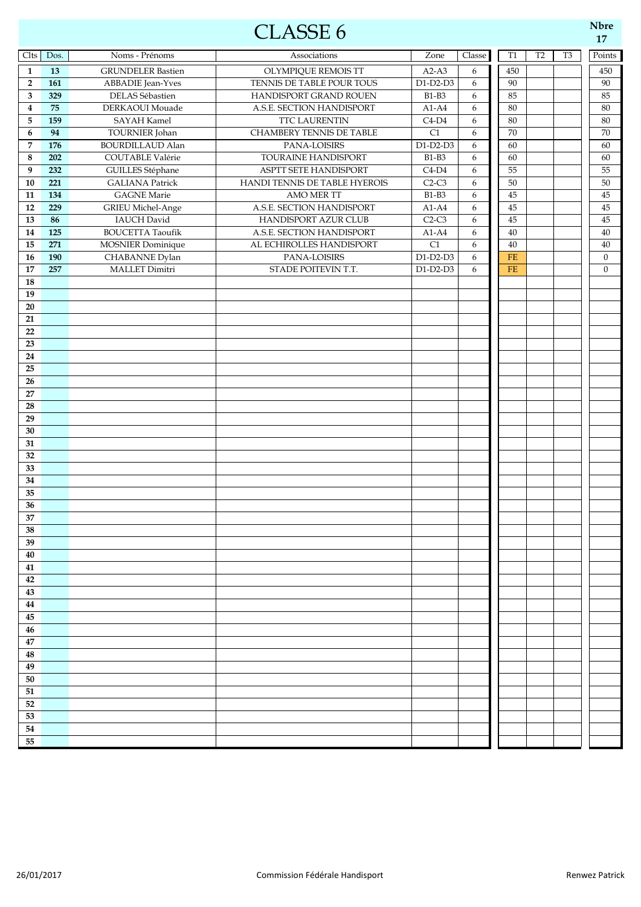## $\text{CLASSE}$  6  $\frac{\text{Nbr}}{17}$

| Clts           | Dos. | Noms - Prénoms           | Associations                    | Zone         | Classe           | T <sub>1</sub> | T2 | T <sub>3</sub> | Points       |
|----------------|------|--------------------------|---------------------------------|--------------|------------------|----------------|----|----------------|--------------|
| $\mathbf{1}$   | 13   | <b>GRUNDELER Bastien</b> | OLYMPIQUE REMOIS TT             | $A2-A3$      | 6                | 450            |    |                | 450          |
| $\overline{2}$ | 161  | <b>ABBADIE</b> Jean-Yves | TENNIS DE TABLE POUR TOUS       | $D1-D2-D3$   | $\boldsymbol{6}$ | 90             |    |                | $90\,$       |
| 3              | 329  | DELAS Sébastien          | HANDISPORT GRAND ROUEN          | <b>B1-B3</b> | 6                | 85             |    |                | 85           |
| 4              | 75   | DERKAOUI Mouade          | A.S.E. SECTION HANDISPORT       | $A1-A4$      | 6                | 80             |    |                | 80           |
| 5              | 159  | <b>SAYAH Kamel</b>       | TTC LAURENTIN                   | $C4-D4$      | 6                | 80             |    |                | 80           |
| 6              | 94   | TOURNIER Johan           | <b>CHAMBERY TENNIS DE TABLE</b> | C1           | 6                | $70\,$         |    |                | 70           |
| $\overline{7}$ | 176  | <b>BOURDILLAUD Alan</b>  | PANA-LOISIRS                    | $D1-D2-D3$   | 6                | 60             |    |                | 60           |
| 8              | 202  | COUTABLE Valérie         | TOURAINE HANDISPORT             | <b>B1-B3</b> | 6                | 60             |    |                | 60           |
| 9              | 232  | GUILLES Stéphane         | ASPTT SETE HANDISPORT           | $C4-D4$      | 6                | 55             |    |                | 55           |
| 10             | 221  | <b>GALIANA Patrick</b>   | HANDI TENNIS DE TABLE HYEROIS   | $C2-C3$      | 6                | 50             |    |                | 50           |
| 11             | 134  | <b>GAGNE</b> Marie       | AMO MER TT                      | <b>B1-B3</b> | 6                | 45             |    |                | 45           |
| 12             | 229  | <b>GRIEU Michel-Ange</b> | A.S.E. SECTION HANDISPORT       | $A1-A4$      | 6                | 45             |    |                | 45           |
| 13             | 86   | <b>IAUCH</b> David       | HANDISPORT AZUR CLUB            | $C2-C3$      | 6                | 45             |    |                | 45           |
| 14             | 125  | <b>BOUCETTA Taoufik</b>  | A.S.E. SECTION HANDISPORT       | $A1-A4$      | 6                | 40             |    |                | 40           |
| 15             | 271  | <b>MOSNIER</b> Dominique | AL ECHIROLLES HANDISPORT        | C1           | 6                | 40             |    |                | 40           |
| 16             | 190  | CHABANNE Dylan           | PANA-LOISIRS                    | $D1-D2-D3$   | 6                | FE             |    |                | $\mathbf{0}$ |
| 17             | 257  | MALLET Dimitri           | STADE POITEVIN T.T.             | $D1-D2-D3$   | 6                | FE             |    |                | $\mathbf{0}$ |
| 18             |      |                          |                                 |              |                  |                |    |                |              |
| 19             |      |                          |                                 |              |                  |                |    |                |              |
| $20\,$         |      |                          |                                 |              |                  |                |    |                |              |
| 21             |      |                          |                                 |              |                  |                |    |                |              |
| 22             |      |                          |                                 |              |                  |                |    |                |              |
| 23             |      |                          |                                 |              |                  |                |    |                |              |
| 24<br>25       |      |                          |                                 |              |                  |                |    |                |              |
| 26             |      |                          |                                 |              |                  |                |    |                |              |
| 27             |      |                          |                                 |              |                  |                |    |                |              |
| 28             |      |                          |                                 |              |                  |                |    |                |              |
| 29             |      |                          |                                 |              |                  |                |    |                |              |
| 30             |      |                          |                                 |              |                  |                |    |                |              |
| 31             |      |                          |                                 |              |                  |                |    |                |              |
| 32             |      |                          |                                 |              |                  |                |    |                |              |
| 33             |      |                          |                                 |              |                  |                |    |                |              |
| 34             |      |                          |                                 |              |                  |                |    |                |              |
| 35             |      |                          |                                 |              |                  |                |    |                |              |
| 36             |      |                          |                                 |              |                  |                |    |                |              |
| 37             |      |                          |                                 |              |                  |                |    |                |              |
| 38             |      |                          |                                 |              |                  |                |    |                |              |
| 39             |      |                          |                                 |              |                  |                |    |                |              |
| 40             |      |                          |                                 |              |                  |                |    |                |              |
| 41             |      |                          |                                 |              |                  |                |    |                |              |
| 42             |      |                          |                                 |              |                  |                |    |                |              |
| 43             |      |                          |                                 |              |                  |                |    |                |              |
| 44             |      |                          |                                 |              |                  |                |    |                |              |
| 45             |      |                          |                                 |              |                  |                |    |                |              |
| 46             |      |                          |                                 |              |                  |                |    |                |              |
| 47             |      |                          |                                 |              |                  |                |    |                |              |
| 48             |      |                          |                                 |              |                  |                |    |                |              |
| 49             |      |                          |                                 |              |                  |                |    |                |              |
| 50             |      |                          |                                 |              |                  |                |    |                |              |
| 51             |      |                          |                                 |              |                  |                |    |                |              |
| 52             |      |                          |                                 |              |                  |                |    |                |              |
| 53             |      |                          |                                 |              |                  |                |    |                |              |
| 54             |      |                          |                                 |              |                  |                |    |                |              |
| 55             |      |                          |                                 |              |                  |                |    |                |              |

**Nbre**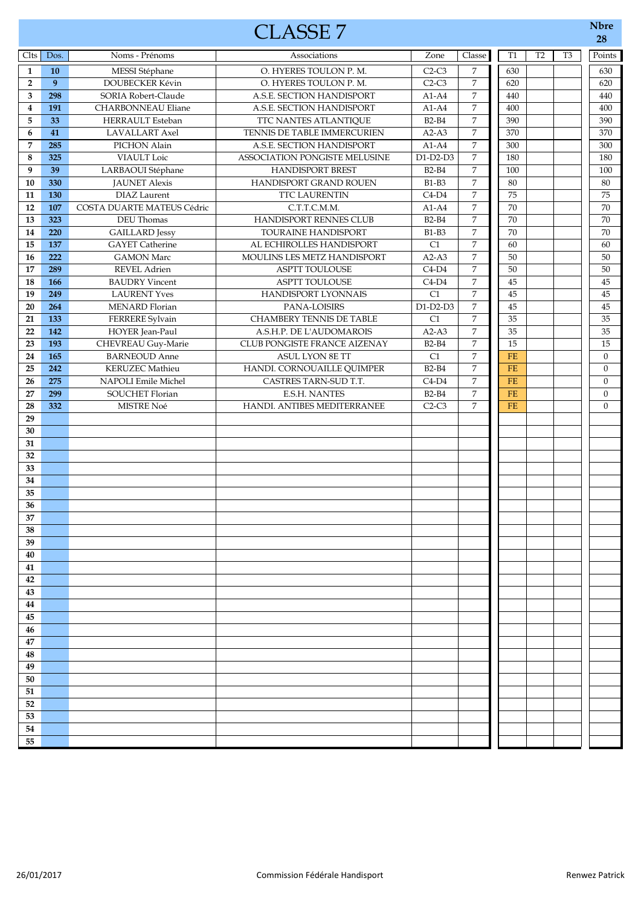|                         |                  |                            | <b>CLASSE 7</b>                 |              |                  |                 |                |                | <b>Nbre</b><br>28 |
|-------------------------|------------------|----------------------------|---------------------------------|--------------|------------------|-----------------|----------------|----------------|-------------------|
| Clts                    | Dos.             | Noms - Prénoms             | Associations                    | Zone         | Classe           | <b>T1</b>       | T <sub>2</sub> | T <sub>3</sub> | Points            |
| $\mathbf{1}$            | 10               | MESSI Stéphane             | O. HYERES TOULON P. M.          | $C2-C3$      | $\overline{7}$   | 630             |                |                | 630               |
| $\overline{2}$          | $\boldsymbol{9}$ | <b>DOUBECKER Kévin</b>     | O. HYERES TOULON P. M.          | $C2-C3$      | $\boldsymbol{7}$ | 620             |                |                | 620               |
| 3                       | 298              | SORIA Robert-Claude        | A.S.E. SECTION HANDISPORT       | $A1-A4$      | $\overline{7}$   | 440             |                |                | 440               |
| $\overline{\mathbf{4}}$ | 191              | <b>CHARBONNEAU Eliane</b>  | A.S.E. SECTION HANDISPORT       | $A1-A4$      | $\boldsymbol{7}$ | 400             |                |                | 400               |
| 5                       | 33               | HERRAULT Esteban           | TTC NANTES ATLANTIQUE           | <b>B2-B4</b> | $\boldsymbol{7}$ | 390             |                |                | 390               |
| 6                       | 41               | <b>LAVALLART</b> Axel      | TENNIS DE TABLE IMMERCURIEN     | $A2-A3$      | $\boldsymbol{7}$ | 370             |                |                | 370               |
| 7                       | 285              | PICHON Alain               | A.S.E. SECTION HANDISPORT       | $A1-A4$      | $\overline{7}$   | 300             |                |                | 300               |
| 8                       | 325              | VIAULT Loic                | ASSOCIATION PONGISTE MELUSINE   | $D1-D2-D3$   | $\overline{7}$   | 180             |                |                | 180               |
| 9                       | 39               | LARBAOUI Stéphane          | <b>HANDISPORT BREST</b>         | <b>B2-B4</b> | $\overline{7}$   | 100             |                |                | 100               |
| 10                      | 330              | <b>JAUNET Alexis</b>       | HANDISPORT GRAND ROUEN          | <b>B1-B3</b> | $\overline{7}$   | 80              |                |                | $80\,$            |
| 11                      | 130              | <b>DIAZ</b> Laurent        | TTC LAURENTIN                   | $C4-D4$      | $\boldsymbol{7}$ | 75              |                |                | 75                |
| 12                      | 107              | COSTA DUARTE MATEUS Cédric | C.T.T.C.M.M.                    | $A1-A4$      | $\boldsymbol{7}$ | 70              |                |                | $70\,$            |
| 13                      | 323              | DEU Thomas                 | HANDISPORT RENNES CLUB          | <b>B2-B4</b> | $\overline{7}$   | 70              |                |                | $70\,$            |
| 14                      | 220              | <b>GAILLARD</b> Jessy      | TOURAINE HANDISPORT             | <b>B1-B3</b> | $\boldsymbol{7}$ | 70              |                |                | 70                |
| 15                      | 137              | <b>GAYET</b> Catherine     | AL ECHIROLLES HANDISPORT        | C1           | $\boldsymbol{7}$ | 60              |                |                | 60                |
| 16                      | $\overline{222}$ | <b>GAMON Marc</b>          | MOULINS LES METZ HANDISPORT     | $A2-A3$      | $\overline{7}$   | 50              |                |                | 50                |
| 17                      | 289              | <b>REVEL Adrien</b>        | ASPTT TOULOUSE                  | $C4-D4$      | $\overline{7}$   | 50              |                |                | 50                |
| 18                      | 166              | <b>BAUDRY Vincent</b>      | <b>ASPTT TOULOUSE</b>           | $C4-D4$      | $\boldsymbol{7}$ | 45              |                |                | 45                |
| 19                      | 249              | <b>LAURENT Yves</b>        | HANDISPORT LYONNAIS             | C1           | $\overline{7}$   | 45              |                |                | 45                |
| 20                      | 264              | MENARD Florian             | PANA-LOISIRS                    | D1-D2-D3     | $\boldsymbol{7}$ | 45              |                |                | 45                |
| 21                      | 133              | FERRERE Sylvain            | <b>CHAMBERY TENNIS DE TABLE</b> | C1           | $\overline{7}$   | 35              |                |                | 35                |
| 22                      | 142              | HOYER Jean-Paul            | A.S.H.P. DE L'AUDOMAROIS        | $A2-A3$      | $\overline{7}$   | 35              |                |                | 35                |
| 23                      | 193              | CHEVREAU Guy-Marie         | CLUB PONGISTE FRANCE AIZENAY    | $B2-B4$      | $\overline{7}$   | $\overline{15}$ |                |                | $\overline{15}$   |
| 24                      | 165              | <b>BARNEOUD Anne</b>       | <b>ASUL LYON 8E TT</b>          | C1           | $\boldsymbol{7}$ | $FE$            |                |                | $\boldsymbol{0}$  |
| 25                      | 242              | <b>KERUZEC</b> Mathieu     | HANDI. CORNOUAILLE QUIMPER      | <b>B2-B4</b> | $\boldsymbol{7}$ | FE              |                |                | $\mathbf{0}$      |
| 26                      | 275              | NAPOLI Emile Michel        | CASTRES TARN-SUD T.T.           | $C4-D4$      | $\boldsymbol{7}$ | $FE$            |                |                | $\mathbf{0}$      |
| 27                      | 299              | <b>SOUCHET Florian</b>     | <b>E.S.H. NANTES</b>            | <b>B2-B4</b> | $\overline{7}$   | <b>FE</b>       |                |                | $\mathbf{0}$      |
| 28                      | 332              | <b>MISTRE Noé</b>          | HANDI. ANTIBES MEDITERRANEE     | $C2-C3$      | $\overline{7}$   | <b>FE</b>       |                |                | $\mathbf{0}$      |
| 29                      |                  |                            |                                 |              |                  |                 |                |                |                   |
| 30                      |                  |                            |                                 |              |                  |                 |                |                |                   |
| 31                      |                  |                            |                                 |              |                  |                 |                |                |                   |
| 32                      |                  |                            |                                 |              |                  |                 |                |                |                   |
| 33                      |                  |                            |                                 |              |                  |                 |                |                |                   |
| 34                      |                  |                            |                                 |              |                  |                 |                |                |                   |
| 35                      |                  |                            |                                 |              |                  |                 |                |                |                   |
| 36                      |                  |                            |                                 |              |                  |                 |                |                |                   |
| 37                      |                  |                            |                                 |              |                  |                 |                |                |                   |
| 38                      |                  |                            |                                 |              |                  |                 |                |                |                   |
| 39                      |                  |                            |                                 |              |                  |                 |                |                |                   |
| 40                      |                  |                            |                                 |              |                  |                 |                |                |                   |
| 41                      |                  |                            |                                 |              |                  |                 |                |                |                   |
| 42                      |                  |                            |                                 |              |                  |                 |                |                |                   |
| 43                      |                  |                            |                                 |              |                  |                 |                |                |                   |
| 44                      |                  |                            |                                 |              |                  |                 |                |                |                   |
| 45                      |                  |                            |                                 |              |                  |                 |                |                |                   |
| 46                      |                  |                            |                                 |              |                  |                 |                |                |                   |
| 47                      |                  |                            |                                 |              |                  |                 |                |                |                   |
| 48                      |                  |                            |                                 |              |                  |                 |                |                |                   |
| 49                      |                  |                            |                                 |              |                  |                 |                |                |                   |
| 50                      |                  |                            |                                 |              |                  |                 |                |                |                   |
| 51                      |                  |                            |                                 |              |                  |                 |                |                |                   |
| 52                      |                  |                            |                                 |              |                  |                 |                |                |                   |
| 53<br>54                |                  |                            |                                 |              |                  |                 |                |                |                   |
|                         |                  |                            |                                 |              |                  |                 |                |                |                   |
| 55                      |                  |                            |                                 |              |                  |                 |                |                |                   |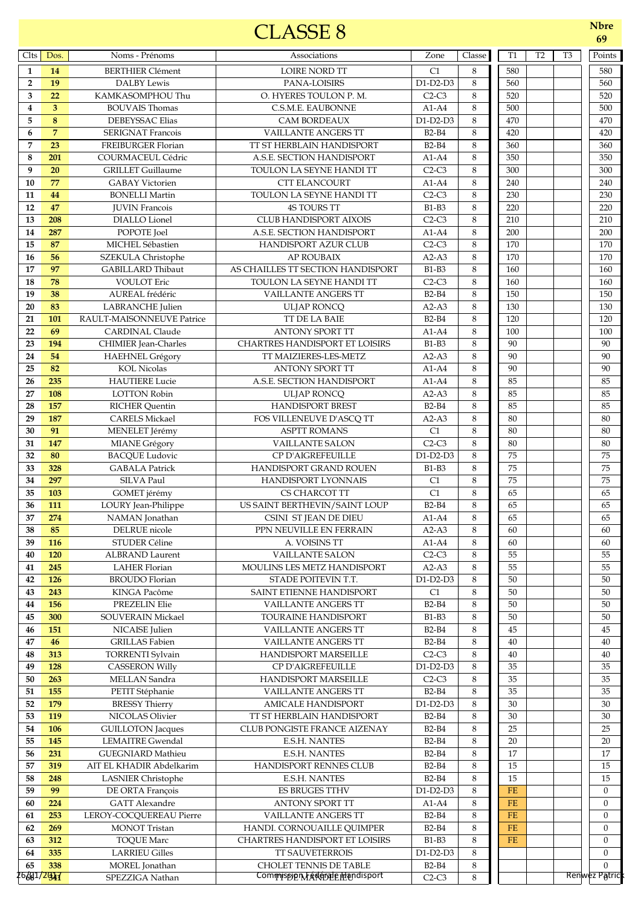## CLASSE 8 **Nbre**

| I VI I.J I. |
|-------------|
| 64          |
|             |

| Clts            | Dos.            | Noms - Prénoms                                  | Associations                                             | Zone                         | Classe  | <b>T1</b>         | T <sub>2</sub> | T <sub>3</sub> | Points                       |
|-----------------|-----------------|-------------------------------------------------|----------------------------------------------------------|------------------------------|---------|-------------------|----------------|----------------|------------------------------|
| $\mathbf{1}$    | 14              | <b>BERTHIER Clément</b>                         | LOIRE NORD TT                                            | C1                           | 8       | 580               |                |                | 580                          |
| $\overline{2}$  | 19              | <b>DALBY Lewis</b>                              | PANA-LOISIRS                                             | D1-D2-D3                     | 8       | 560               |                |                | 560                          |
| 3               | 22              | KAMKASOMPHOU Thu                                | O. HYERES TOULON P. M.                                   | $C2-C3$                      | 8       | 520               |                |                | 520                          |
| $\overline{4}$  | 3               | <b>BOUVAIS Thomas</b>                           | C.S.M.E. EAUBONNE                                        | $A1-A4$                      | 8       | 500               |                |                | 500                          |
| 5               | 8               | <b>DEBEYSSAC Elias</b>                          | <b>CAM BORDEAUX</b>                                      | D1-D2-D3                     | 8       | 470               |                |                | 470                          |
| 6               | $\overline{7}$  | <b>SERIGNAT Francois</b>                        | <b>VAILLANTE ANGERS TT</b>                               | <b>B2-B4</b>                 | 8       | 420               |                |                | 420                          |
| 7               | 23              | FREIBURGER Florian                              | TT ST HERBLAIN HANDISPORT                                | <b>B2-B4</b>                 | 8       | 360               |                |                | 360                          |
| 8               | 201             | <b>COURMACEUL Cédric</b>                        | A.S.E. SECTION HANDISPORT                                | $A1-A4$                      | 8       | 350               |                |                | 350                          |
| 9<br>10         | 20<br>77        | <b>GRILLET</b> Guillaume                        | TOULON LA SEYNE HANDI TT                                 | $C2-C3$                      | 8<br>8  | 300<br>240        |                |                | 300                          |
| 11              | 44              | <b>GABAY Victorien</b><br><b>BONELLI Martin</b> | <b>CTT ELANCOURT</b><br>TOULON LA SEYNE HANDI TT         | $A1-A4$<br>$C2-C3$           | 8       | 230               |                |                | 240<br>230                   |
| 12              | 47              | <b>JUVIN Francois</b>                           | <b>4S TOURS TT</b>                                       | <b>B1-B3</b>                 | 8       | 220               |                |                | 220                          |
| 13              | 208             | DIALLO Lionel                                   | CLUB HANDISPORT AIXOIS                                   | $C2-C3$                      | 8       | 210               |                |                | 210                          |
| 14              | 287             | POPOTE Joel                                     | A.S.E. SECTION HANDISPORT                                | $A1-A4$                      | 8       | 200               |                |                | 200                          |
| 15              | 87              | MICHEL Sébastien                                | <b>HANDISPORT AZUR CLUB</b>                              | $C2-C3$                      | 8       | 170               |                |                | 170                          |
| 16              | 56              | <b>SZEKULA Christophe</b>                       | <b>AP ROUBAIX</b>                                        | $A2-A3$                      | 8       | 170               |                |                | 170                          |
| 17              | 97              | <b>GABILLARD Thibaut</b>                        | AS CHAILLES TT SECTION HANDISPORT                        | <b>B1-B3</b>                 | 8       | 160               |                |                | 160                          |
| 18              | 78              | <b>VOULOT</b> Eric                              | TOULON LA SEYNE HANDI TT                                 | $C2-C3$                      | 8       | 160               |                |                | 160                          |
| 19              | 38              | AUREAL frédéric                                 | <b>VAILLANTE ANGERS TT</b>                               | <b>B2-B4</b>                 | 8       | 150               |                |                | 150                          |
| 20              | 83              | <b>LABRANCHE</b> Julien                         | <b>ULJAP RONCQ</b>                                       | $A2-A3$                      | 8       | 130               |                |                | 130                          |
| 21              | 101             | RAULT-MAISONNEUVE Patrice                       | TT DE LA BAIE                                            | <b>B2-B4</b>                 | 8       | 120               |                |                | 120                          |
| 22              | 69              | <b>CARDINAL Claude</b>                          | <b>ANTONY SPORT TT</b>                                   | $A1-A4$                      | 8       | 100               |                |                | 100                          |
| 23              | 194             | CHIMIER Jean-Charles                            | <b>CHARTRES HANDISPORT ET LOISIRS</b>                    | <b>B1-B3</b>                 | 8       | 90                |                |                | 90                           |
| 24              | 54              | <b>HAEHNEL Grégory</b>                          | TT MAIZIERES-LES-METZ                                    | $A2-A3$                      | 8       | 90                |                |                | 90                           |
| 25              | 82              | <b>KOL Nicolas</b>                              | <b>ANTONY SPORT TT</b>                                   | $A1-A4$                      | 8       | 90                |                |                | 90                           |
| 26              | 235             | <b>HAUTIERE</b> Lucie                           | A.S.E. SECTION HANDISPORT                                | $A1-A4$                      | 8<br>8  | 85<br>85          |                |                | 85                           |
| 27<br>28        | 108<br>157      | <b>LOTTON Robin</b><br><b>RICHER Quentin</b>    | <b>ULJAP RONCQ</b><br><b>HANDISPORT BREST</b>            | $A2-A3$<br><b>B2-B4</b>      | 8       | 85                |                |                | 85<br>85                     |
| 29              | 187             | <b>CARELS Mickael</b>                           | FOS VILLENEUVE D'ASCQ TT                                 | $A2-A3$                      | 8       | 80                |                |                | 80                           |
| 30              | 91              | MENELET Jérémy                                  | <b>ASPTT ROMANS</b>                                      | C1                           | 8       | 80                |                |                | 80                           |
| 31              | 147             | MIANE Grégory                                   | <b>VAILLANTE SALON</b>                                   | $C2-C3$                      | 8       | 80                |                |                | 80                           |
| 32              | 80              | <b>BACQUE Ludovic</b>                           | CP D'AIGREFEUILLE                                        | $D1-D2-D3$                   | 8       | 75                |                |                | 75                           |
| 33              | 328             | <b>GABALA Patrick</b>                           | HANDISPORT GRAND ROUEN                                   | <b>B1-B3</b>                 | 8       | 75                |                |                | 75                           |
| 34              | 297             | SILVA Paul                                      | HANDISPORT LYONNAIS                                      | C1                           | 8       | 75                |                |                | 75                           |
| 35              | 103             | GOMET jérémy                                    | CS CHARCOT TT                                            | $\overline{C1}$              | 8       | 65                |                |                | 65                           |
| 36              | 111             | LOURY Jean-Philippe                             | US SAINT BERTHEVIN/SAINT LOUP                            | <b>B2-B4</b>                 | 8       | 65                |                |                | 65                           |
| 37              | 274             | NAMAN Jonathan                                  | CSINI ST JEAN DE DIEU                                    | $A1-A4$                      | 8       | 65                |                |                | 65                           |
| $\overline{38}$ | $\overline{85}$ | DELRUE nicole                                   | PPN NEUVILLE EN FERRAIN                                  | $A2-A3$                      | $\,8\,$ | 60                |                |                | 60                           |
| 39              | <b>116</b>      | STUDER Céline                                   | A. VOISINS TT                                            | $A1-A4$                      | 8       | 60                |                |                | 60                           |
| 40              | 120             | <b>ALBRAND Laurent</b>                          | <b>VAILLANTE SALON</b>                                   | $C2-C3$                      | 8       | 55                |                |                | 55                           |
| 41              | 245             | <b>LAHER Florian</b>                            | MOULINS LES METZ HANDISPORT                              | $A2-A3$                      | 8       | 55                |                |                | 55                           |
| 42              | <b>126</b>      | <b>BROUDO</b> Florian                           | STADE POITEVIN T.T.                                      | $D1-D2-D3$                   | 8       | 50                |                |                | 50                           |
| 43              | 243             | KINGA Pacôme                                    | SAINT ETIENNE HANDISPORT                                 | C1                           | 8       | 50                |                |                | 50                           |
| 44              | 156             | PREZELIN Elie                                   | <b>VAILLANTE ANGERS TT</b>                               | <b>B2-B4</b>                 | 8       | 50                |                |                | 50                           |
| 45<br>46        | 300<br>151      | <b>SOUVERAIN Mickael</b><br>NICAISE Julien      | <b>TOURAINE HANDISPORT</b><br><b>VAILLANTE ANGERS TT</b> | <b>B1-B3</b><br><b>B2-B4</b> | 8<br>8  | 50<br>45          |                |                | 50<br>45                     |
| 47              | 46              | <b>GRILLAS</b> Fabien                           | <b>VAILLANTE ANGERS TT</b>                               | <b>B2-B4</b>                 | 8       | 40                |                |                | 40                           |
| 48              | 313             | <b>TORRENTI Sylvain</b>                         | HANDISPORT MARSEILLE                                     | $C2-C3$                      | 8       | 40                |                |                | 40                           |
| 49              | 128             | <b>CASSERON Willy</b>                           | CP D'AIGREFEUILLE                                        | D1-D2-D3                     | 8       | 35                |                |                | 35                           |
| 50              | 263             | MELLAN Sandra                                   | <b>HANDISPORT MARSEILLE</b>                              | $C2-C3$                      | 8       | 35                |                |                | 35                           |
| 51              | 155             | PETIT Stéphanie                                 | VAILLANTE ANGERS TT                                      | <b>B2-B4</b>                 | 8       | 35                |                |                | 35                           |
| 52              | 179             | <b>BRESSY Thierry</b>                           | <b>AMICALE HANDISPORT</b>                                | $D1-D2-D3$                   | 8       | 30                |                |                | 30                           |
| 53              | 119             | NICOLAS Olivier                                 | TT ST HERBLAIN HANDISPORT                                | <b>B2-B4</b>                 | 8       | 30                |                |                | 30                           |
| 54              | 106             | <b>GUILLOTON</b> Jacques                        | CLUB PONGISTE FRANCE AIZENAY                             | <b>B2-B4</b>                 | 8       | 25                |                |                | 25                           |
| 55              | 145             | <b>LEMAITRE Gwendal</b>                         | <b>E.S.H. NANTES</b>                                     | <b>B2-B4</b>                 | 8       | 20                |                |                | 20                           |
| 56              | 231             | <b>GUEGNIARD Mathieu</b>                        | <b>E.S.H. NANTES</b>                                     | <b>B2-B4</b>                 | 8       | 17                |                |                | 17                           |
| 57              | 319             | AIT EL KHADIR Abdelkarim                        | HANDISPORT RENNES CLUB                                   | <b>B2-B4</b>                 | 8       | 15                |                |                | 15                           |
| 58              | 248             | <b>LASNIER Christophe</b>                       | <b>E.S.H. NANTES</b>                                     | <b>B2-B4</b>                 | 8       | 15                |                |                | 15                           |
| 59              | 99              | DE ORTA François                                | <b>ES BRUGES TTHV</b>                                    | D1-D2-D3                     | 8       | <b>FE</b>         |                |                | $\mathbf{0}$                 |
| 60              | 224             | <b>GATT</b> Alexandre                           | <b>ANTONY SPORT TT</b>                                   | $A1-A4$                      | 8       | <b>FE</b>         |                |                | $\mathbf{0}$                 |
| 61              | 253             | LEROY-COCQUEREAU Pierre                         | <b>VAILLANTE ANGERS TT</b>                               | <b>B2-B4</b>                 | 8       | <b>FE</b>         |                |                | $\mathbf{0}$                 |
| 62              | 269<br>312      | <b>MONOT Tristan</b>                            | HANDI. CORNOUAILLE QUIMPER                               | <b>B2-B4</b><br><b>B1-B3</b> | 8<br>8  | $FE$<br><b>FE</b> |                |                | $\boldsymbol{0}$             |
| 63<br>64        | 335             | <b>TOQUE Marc</b><br><b>LARRIEU Gilles</b>      | CHARTRES HANDISPORT ET LOISIRS<br>TT SAUVETERROIS        | $D1-D2-D3$                   | 8       |                   |                |                | $\mathbf{0}$<br>$\mathbf{0}$ |
| 65              | 338             | MOREL Jonathan                                  | <b>CHOLET TENNIS DE TABLE</b>                            | B2-B4                        | $\,8\,$ |                   |                |                | $\overline{0}$               |
| 26601/2017      |                 | SPEZZIGA Nathan                                 | Commission Faderale mandisport                           | $C2-C3$                      | 8       |                   |                |                | Renwez Patric                |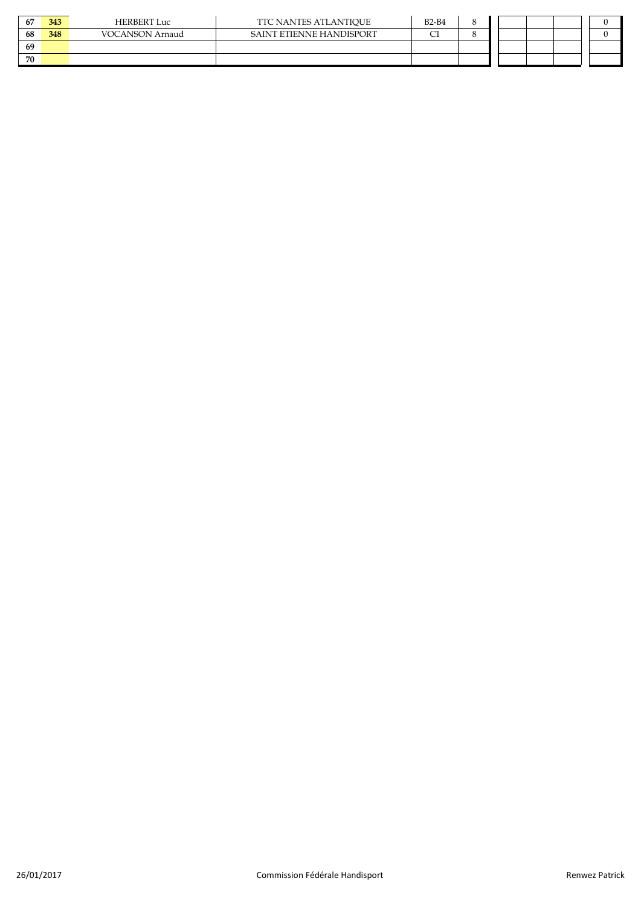| 67 | 343 | <b>HERBERT Luc</b>     | TTC NANTES ATLANTIQUE    | $B2-B4$ | $\Omega$ |  |  |
|----|-----|------------------------|--------------------------|---------|----------|--|--|
| 68 | 348 | <b>VOCANSON</b> Arnaud | SAINT ETIENNE HANDISPORT |         |          |  |  |
| 69 |     |                        |                          |         |          |  |  |
| 70 |     |                        |                          |         |          |  |  |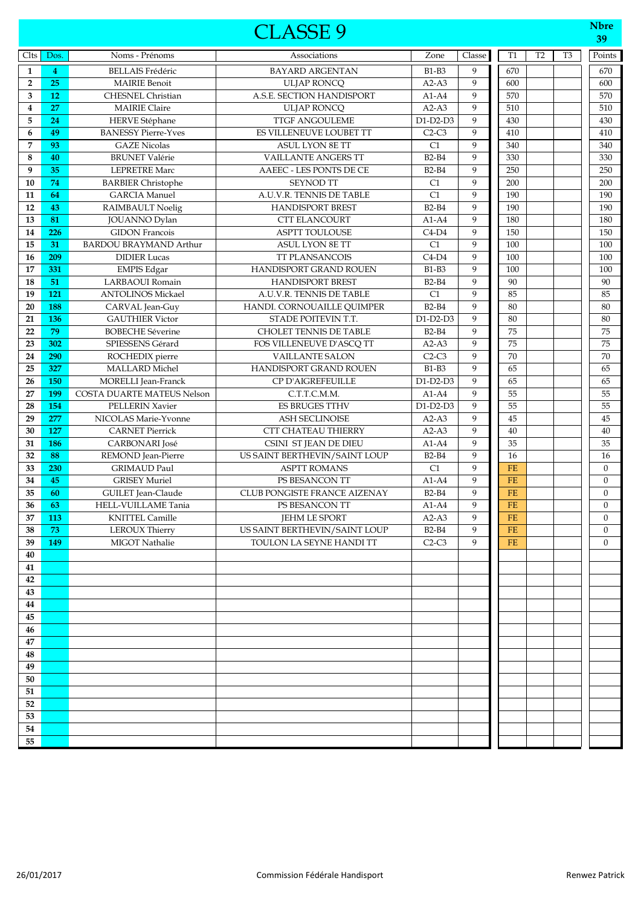|                         |            |                                                | <b>CLASSE 9</b>                                     |                    |                   |                        |                |                | <b>Nbre</b><br>39 |
|-------------------------|------------|------------------------------------------------|-----------------------------------------------------|--------------------|-------------------|------------------------|----------------|----------------|-------------------|
| Clts                    | Dos.       | Noms - Prénoms                                 | Associations                                        | Zone               | Classe            | T <sub>1</sub>         | T <sub>2</sub> | T <sub>3</sub> | Points            |
| $\mathbf{1}$            | 4          | <b>BELLAIS Frédéric</b>                        | <b>BAYARD ARGENTAN</b>                              | $B1-B3$            | 9                 | 670                    |                |                | 670               |
| $\overline{2}$          | 25         | <b>MAIRIE Benoit</b>                           | <b>ULJAP RONCO</b>                                  | $A2-A3$            | $\mathbf{Q}$      | 600                    |                |                | 600               |
| 3                       | 12         | <b>CHESNEL Christian</b>                       | A.S.E. SECTION HANDISPORT                           | $A1-A4$            | 9                 | 570                    |                |                | 570               |
| $\overline{\mathbf{4}}$ | 27         | <b>MAIRIE Claire</b>                           | <b>ULJAP RONCQ</b>                                  | $A2-A3$            | 9                 | 510                    |                |                | 510               |
| 5                       | 24         | <b>HERVE Stéphane</b>                          | <b>TTGF ANGOULEME</b>                               | $D1-D2-D3$         | 9                 | 430                    |                |                | 430               |
| 6                       | 49         | <b>BANESSY Pierre-Yves</b>                     | ES VILLENEUVE LOUBET TT                             | $C2-C3$            | 9                 | 410                    |                |                | 410               |
| 7                       | 93         | <b>GAZE Nicolas</b>                            | <b>ASUL LYON 8E TT</b>                              | C1                 | 9                 | 340                    |                |                | 340               |
| 8                       | 40         | <b>BRUNET Valérie</b>                          | <b>VAILLANTE ANGERS TT</b>                          | <b>B2-B4</b>       | 9                 | 330                    |                |                | 330               |
| 9                       | 35         | <b>LEPRETRE Marc</b>                           | AAEEC - LES PONTS DE CE                             | $B2-B4$            | 9                 | 250                    |                |                | 250               |
| 10                      | 74         | <b>BARBIER Christophe</b>                      | SEYNOD TT                                           | C1                 | 9                 | 200                    |                |                | 200               |
| 11                      | 64         | <b>GARCIA</b> Manuel                           | A.U.V.R. TENNIS DE TABLE                            | C1                 | 9                 | 190                    |                |                | 190               |
| 12                      | 43         | <b>RAIMBAULT Noelig</b>                        | <b>HANDISPORT BREST</b>                             | <b>B2-B4</b>       | 9                 | 190                    |                |                | 190               |
| 13                      | 81         | JOUANNO Dylan                                  | <b>CTT ELANCOURT</b>                                | $A1-A4$            | 9                 | 180                    |                |                | 180               |
| 14                      | 226        | <b>GIDON</b> Francois                          | <b>ASPTT TOULOUSE</b>                               | $C4-D4$            | 9                 | 150                    |                |                | 150               |
| 15                      | 31         | <b>BARDOU BRAYMAND Arthur</b>                  | <b>ASUL LYON 8E TT</b>                              | C1                 | 9                 | 100                    |                |                | 100               |
| 16                      | 209        | <b>DIDIER Lucas</b>                            | <b>TT PLANSANCOIS</b>                               | $C4-D4$            | 9                 | 100                    |                |                | 100               |
| 17                      | 331        | <b>EMPIS Edgar</b>                             | HANDISPORT GRAND ROUEN                              | $B1-B3$            | 9                 | 100                    |                |                | 100               |
| 18                      | 51         | LARBAOUI Romain                                | <b>HANDISPORT BREST</b>                             | <b>B2-B4</b>       | 9                 | 90                     |                |                | 90                |
| 19                      | 121        | <b>ANTOLINOS Mickael</b>                       | A.U.V.R. TENNIS DE TABLE                            | C1                 | 9                 | 85                     |                |                | 85                |
| 20                      | 188        | CARVAL Jean-Guy                                | HANDI. CORNOUAILLE QUIMPER                          | <b>B2-B4</b>       | 9                 | 80                     |                |                | 80                |
| 21                      | 136        | <b>GAUTHIER Victor</b>                         | STADE POITEVIN T.T.                                 | $D1-D2-D3$         | 9                 | 80                     |                |                | 80                |
| 22                      | 79         | <b>BOBECHE Séverine</b>                        | <b>CHOLET TENNIS DE TABLE</b>                       | $B2-B4$            | 9                 | 75                     |                |                | 75                |
| 23                      | 302        | SPIESSENS Gérard                               | FOS VILLENEUVE D'ASCQ TT                            | $A2-A3$            | 9                 | 75                     |                |                | 75                |
| 24                      | 290        | ROCHEDIX pierre                                | <b>VAILLANTE SALON</b>                              | $C2-C3$            | 9                 | 70                     |                |                | 70                |
| 25                      | 327        | <b>MALLARD</b> Michel                          | HANDISPORT GRAND ROUEN                              | <b>B1-B3</b>       | 9                 | 65                     |                |                | 65                |
| 26                      | 150        | <b>MORELLI</b> Jean-Franck                     | CP D'AIGREFEUILLE                                   | D1-D2-D3           | 9<br>$\mathbf{Q}$ | 65                     |                |                | 65                |
| 27                      | 199        | <b>COSTA DUARTE MATEUS Nelson</b>              | C.T.T.C.M.M.                                        | $A1-A4$            |                   | 55                     |                |                | 55                |
| 28                      | 154        | <b>PELLERIN Xavier</b>                         | <b>ES BRUGES TTHV</b>                               | $D1-D2-D3$         | 9                 | 55                     |                |                | 55                |
| 29<br>30                | 277<br>127 | NICOLAS Marie-Yvonne<br><b>CARNET Pierrick</b> | <b>ASH SECLINOISE</b><br><b>CTT CHATEAU THIERRY</b> | $A2-A3$<br>$A2-A3$ | 9<br>9            | 45<br>40               |                |                | 45<br>40          |
| 31                      | 186        | CARBONARI José                                 | CSINI ST JEAN DE DIEU                               | $A1-A4$            | 9                 | 35                     |                |                | 35                |
| 32                      | 88         | REMOND Jean-Pierre                             | US SAINT BERTHEVIN/SAINT LOUP                       | <b>B2-B4</b>       | 9                 | 16                     |                |                | 16                |
| 33                      | 230        | <b>GRIMAUD Paul</b>                            | <b>ASPTT ROMANS</b>                                 | C1                 | 9                 | $FE$                   |                |                | $\boldsymbol{0}$  |
| 34                      | 45         | <b>GRISEY Muriel</b>                           | PS BESANCON TT                                      | $A1-A4$            | 9                 | $FE$                   |                |                | $\boldsymbol{0}$  |
| 35                      | 60         | GUILET Jean-Claude                             | CLUB PONGISTE FRANCE AIZENAY                        | $B2-B4$            | 9                 | <b>FE</b>              |                |                | $\boldsymbol{0}$  |
| 36                      | 63         | HELL-VUILLAME Tania                            | PS BESANCON TT                                      | $A1-A4$            | 9                 | $\overline{\text{FE}}$ |                |                | $\boldsymbol{0}$  |
| 37                      | <b>113</b> | <b>KNITTEL Camille</b>                         | <b>JEHM LE SPORT</b>                                | $A2-A3$            | 9                 | FE                     |                |                | $\mathbf{0}$      |
| 38                      | 73         | <b>LEROUX Thierry</b>                          | US SAINT BERTHEVIN/SAINT LOUP                       | <b>B2-B4</b>       | 9                 | $FE$                   |                |                | $\mathbf{0}$      |
| 39                      | 149        | MIGOT Nathalie                                 | TOULON LA SEYNE HANDI TT                            | $C2-C3$            | 9                 | $FE$                   |                |                | $\mathbf{0}$      |
| 40                      |            |                                                |                                                     |                    |                   |                        |                |                |                   |
| 41                      |            |                                                |                                                     |                    |                   |                        |                |                |                   |
| 42                      |            |                                                |                                                     |                    |                   |                        |                |                |                   |
| 43                      |            |                                                |                                                     |                    |                   |                        |                |                |                   |
| 44                      |            |                                                |                                                     |                    |                   |                        |                |                |                   |
| 45                      |            |                                                |                                                     |                    |                   |                        |                |                |                   |
| 46                      |            |                                                |                                                     |                    |                   |                        |                |                |                   |
| 47                      |            |                                                |                                                     |                    |                   |                        |                |                |                   |
| 48                      |            |                                                |                                                     |                    |                   |                        |                |                |                   |
| 49                      |            |                                                |                                                     |                    |                   |                        |                |                |                   |
| 50                      |            |                                                |                                                     |                    |                   |                        |                |                |                   |
| 51                      |            |                                                |                                                     |                    |                   |                        |                |                |                   |
| 52                      |            |                                                |                                                     |                    |                   |                        |                |                |                   |
| 53                      |            |                                                |                                                     |                    |                   |                        |                |                |                   |
| 54                      |            |                                                |                                                     |                    |                   |                        |                |                |                   |
| 55                      |            |                                                |                                                     |                    |                   |                        |                |                |                   |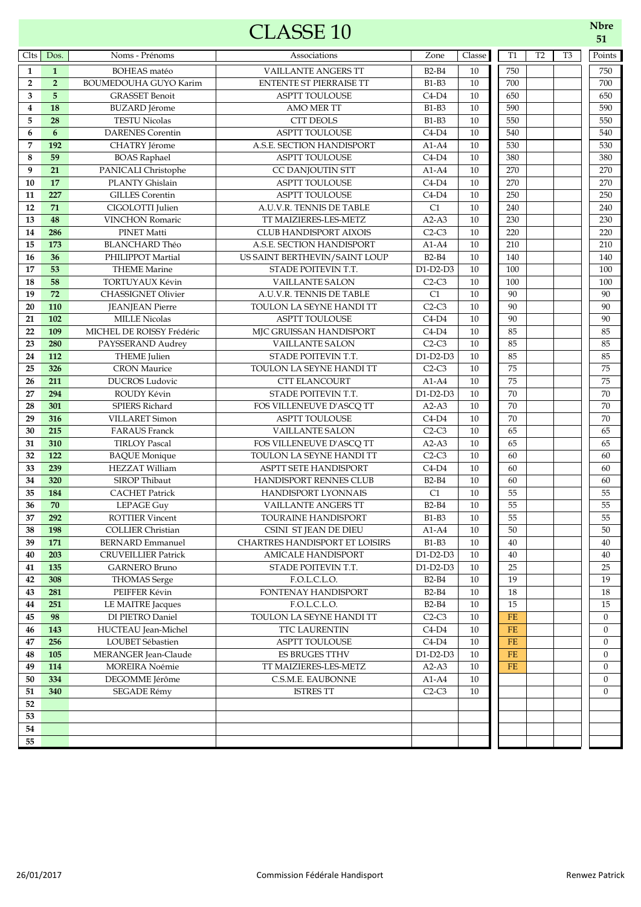## Clts Dos. Noms - Prénoms | Associations | Zone Classe T1 T2 T3 | Points **1** BOHEAS matéo **1** VAILLANTE ANGERS TT B2-B4 10 750 | | 750 750 **2** BOUMEDOUHA GUYO Karim ENTENTE ST PIERRAISE TT B1-B3 10 700 700 700 **5** GRASSET Benoit **ASPTT TOULOUSE C4-D4** 10 650 **650** 650 **18** BUZARD Jérome AMO MER TT B1-B3 10 590 | 590 **28** TESTU Nicolas CTT DEOLS B1-B3 10 550 550 **6** DARENES Corentin **6** ASPTT TOULOUSE C4-D4 10 540 540 540 **192** CHATRY Jérome A.S.E. SECTION HANDISPORT A1-A4 10 530 | | 530 **59** BOAS Raphael **ASPTT TOULOUSE** C4-D4 10 380 380 380 **21** PANICALI Christophe CC DANJOUTIN STT A1-A4 10 270 270 **17 PLANTY Ghislain ASPTT TOULOUSE C4-D4** 10 270 270 **227** GILLES Corentin **ASPTT TOULOUSE** C4-D4 10 **250** 250 **71** CIGOLOTTI Julien A.U.V.R. TENNIS DE TABLE C1 10 240 240 240 **48** VINCHON Romaric TT MAIZIERES-LES-METZ A2-A3 10 230 | 230 **286** PINET Matti CLUB HANDISPORT AIXOIS C2-C3 10 220 220 **173** BLANCHARD Théo A.S.E. SECTION HANDISPORT A1-A4 10 210 210 **36** PHILIPPOT Martial US SAINT BERTHEVIN/SAINT LOUP B2-B4 10 140 140 140 **53** THEME Marine STADE POITEVIN T.T. D1-D2-D3 10 100 100 100 **58** TORTUYAUX Kévin **18** VAILLANTE SALON C2-C3 10 100 100 **19 72** CHASSIGNET Olivier A.U.V.R. TENNIS DE TABLE C1 10 90 90 **20 110** JEANJEAN Pierre TOULON LA SEYNE HANDI TT C2-C3 10 90 90 90 **21 102** MILLE Nicolas ASPTT TOULOUSE C4-D4 10 90 90 90 **22 109** MICHEL DE ROISSY Frédéric MJC GRUISSAN HANDISPORT C4-D4 10 85 | | | 85 **280** PAYSSERAND Audrey **VAILLANTE SALON** C2-C3 10 85 | | 85 **24 112** THEME Julien STADE POITEVIN T.T. D1-D2-D3 10 85 85 85 CLASSE 10 **Nbre**

 **326** CRON Maurice TOULON LA SEYNE HANDI TT C2-C3 10 75 75 **211** DUCROS Ludovic CTT ELANCOURT A1-A4 10 75 | | 75 **27 294** ROUDY Kévin STADE POITEVIN T.T. D1-D2-D3 10 70 70 **28 301** SPIERS Richard FOS VILLENEUVE D'ASCQ TT A2-A3 10 70 70 70 **29 316** VILLARET Simon ASPTT TOULOUSE C4-D4 10 70 | 70 **215** FARAUS Franck VAILLANTE SALON C2-C3 10 65 65 **310** TIRLOY Pascal FOS VILLENEUVE D'ASCQ TT A2-A3 10 65 65 **32 122** BAQUE Monique TOULON LA SEYNE HANDI TT C2-C3 10 60 60 **239** HEZZAT William ASPTT SETE HANDISPORT C4-D4 10 60 60 **34 320** SIROP Thibaut HANDISPORT RENNES CLUB B2-B4 10 60 60 60 CACHET Patrick HANDISPORT LYONNAIS C1 10 55 55 **70** LEPAGE Guy VAILLANTE ANGERS TT B2-B4 10 55 55 **37 292** ROTTIER Vincent TOURAINE HANDISPORT B1-B3 10 55 55 **38 <b>198** COLLIER Christian CSINI ST JEAN DE DIEU A1-A4 10 50 50 **39 171** BERNARD Emmanuel CHARTRES HANDISPORT ET LOISIRS | B1-B3 | 10 | 40 | | | 40 | | | 40 **40 203** CRUVEILLIER Patrick AMICALE HANDISPORT D1-D2-D3 10 40 40 **41 135** GARNERO Bruno STADE POITEVIN T.T.  $\vert$  D1-D2-D3 10  $\vert$  25  $\vert$  25 **308** THOMAS Serge F.O.L.C.L.O. B2-B4 10 19 19 19 **281 PEIFFER Kévin FONTENAY HANDISPORT** B2-B4 10 18 18 **251** LE MAITRE Jacques F.O.L.C.L.O. B2-B4 10 15 15 15 **98** DI PIETRO Daniel TOULON LA SEYNE HANDI TT C2-C3 10 FE 0 **143** HUCTEAU Jean-Michel TTC LAURENTIN C4-D4 10 **FE** 0 **256** LOUBET Sébastien ASPTT TOULOUSE C4-D4 10 FE 0 **105** MERANGER Jean-Claude ES BRUGES TTHV D1-D2-D3 10 **FE** 0 **114** MOREIRA Noémie TT MAIZIERES-LES-METZ A2-A3 10 FE 0 **334** DEGOMME Jérôme C.S.M.E. EAUBONNE A1-A4 10 | | | | | 0 **340** SEGADE Rémy ISTRES TT C2-C3 10 0